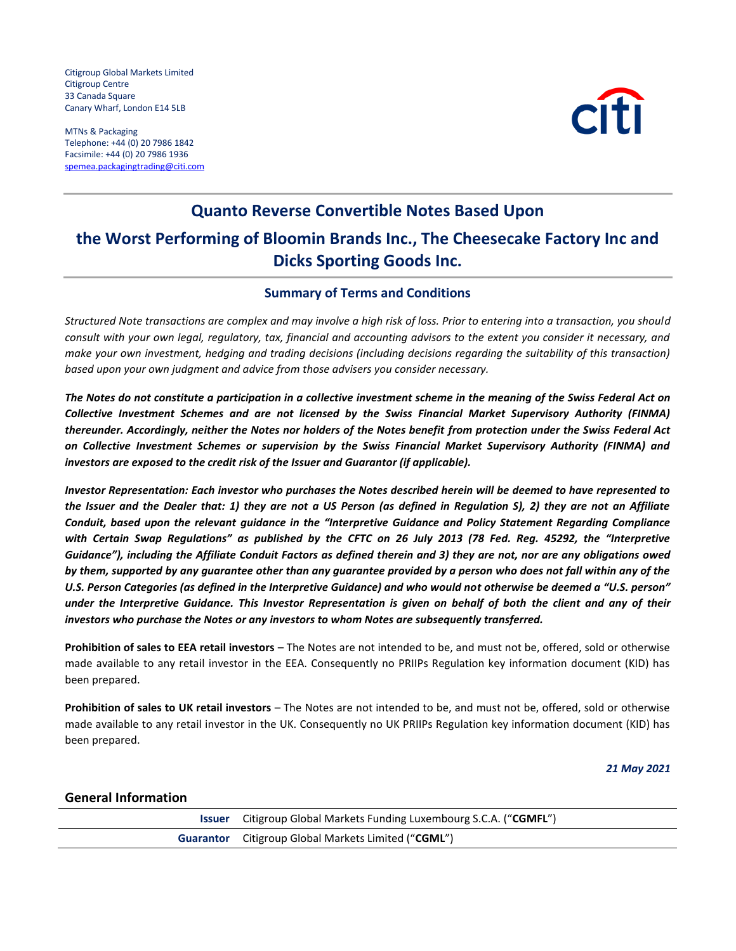Citigroup Global Markets Limited Citigroup Centre 33 Canada Square Canary Wharf, London E14 5LB

MTNs & Packaging Telephone: +44 (0) 20 7986 1842 Facsimile: +44 (0) 20 7986 1936 spemea.packagingtrading@citi.com



# **Quanto Reverse Convertible Notes Based Upon the Worst Performing of Bloomin Brands Inc., The Cheesecake Factory Inc and Dicks Sporting Goods Inc.**

### **Summary of Terms and Conditions**

*Structured Note transactions are complex and may involve a high risk of loss. Prior to entering into a transaction, you should consult with your own legal, regulatory, tax, financial and accounting advisors to the extent you consider it necessary, and make your own investment, hedging and trading decisions (including decisions regarding the suitability of this transaction) based upon your own judgment and advice from those advisers you consider necessary.*

*The Notes do not constitute a participation in a collective investment scheme in the meaning of the Swiss Federal Act on Collective Investment Schemes and are not licensed by the Swiss Financial Market Supervisory Authority (FINMA) thereunder. Accordingly, neither the Notes nor holders of the Notes benefit from protection under the Swiss Federal Act on Collective Investment Schemes or supervision by the Swiss Financial Market Supervisory Authority (FINMA) and investors are exposed to the credit risk of the Issuer and Guarantor (if applicable).*

*Investor Representation: Each investor who purchases the Notes described herein will be deemed to have represented to the Issuer and the Dealer that: 1) they are not a US Person (as defined in Regulation S), 2) they are not an Affiliate Conduit, based upon the relevant guidance in the "Interpretive Guidance and Policy Statement Regarding Compliance with Certain Swap Regulations" as published by the CFTC on 26 July 2013 (78 Fed. Reg. 45292, the "Interpretive*  Guidance"), including the Affiliate Conduit Factors as defined therein and 3) they are not, nor are any obligations owed *by them, supported by any guarantee other than any guarantee provided by a person who does not fall within any of the U.S. Person Categories (as defined in the Interpretive Guidance) and who would not otherwise be deemed a "U.S. person" under the Interpretive Guidance. This Investor Representation is given on behalf of both the client and any of their investors who purchase the Notes or any investors to whom Notes are subsequently transferred.*

**Prohibition of sales to EEA retail investors** – The Notes are not intended to be, and must not be, offered, sold or otherwise made available to any retail investor in the EEA. Consequently no PRIIPs Regulation key information document (KID) has been prepared.

**Prohibition of sales to UK retail investors** – The Notes are not intended to be, and must not be, offered, sold or otherwise made available to any retail investor in the UK. Consequently no UK PRIIPs Regulation key information document (KID) has been prepared.

*21 May 2021*

#### **General Information**

| Issuer | Citigroup Global Markets Funding Luxembourg S.C.A. ("CGMFL") |
|--------|--------------------------------------------------------------|
|        | <b>Guarantor</b> Citigroup Global Markets Limited ("CGML")   |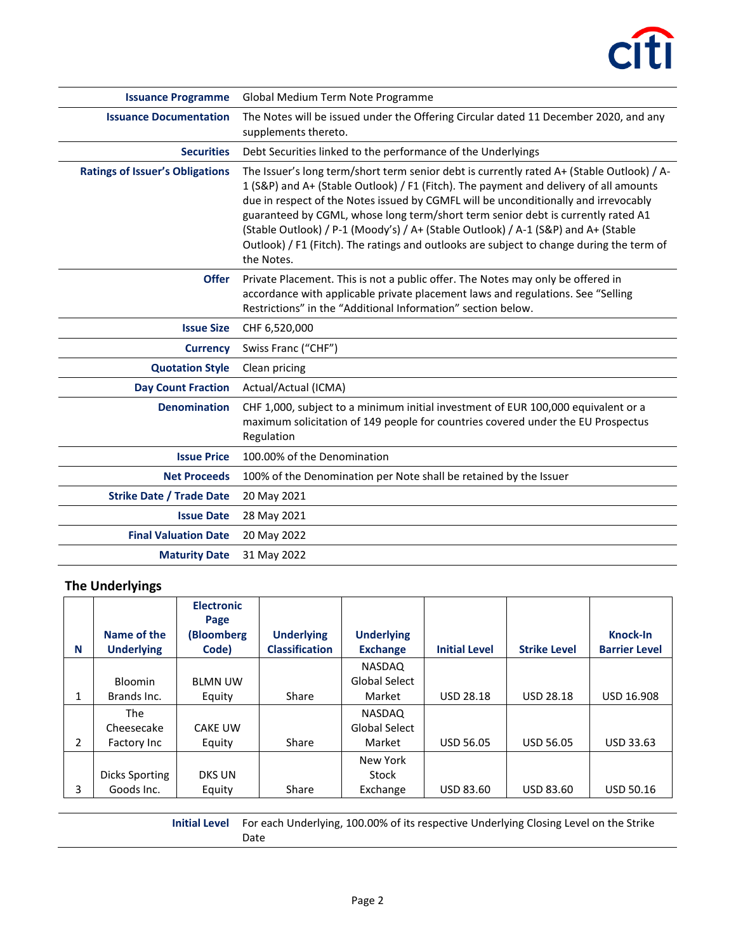

| <b>Issuance Programme</b>              | Global Medium Term Note Programme                                                                                                                                                                                                                                                                                                                                                                                                                                                                                                                            |
|----------------------------------------|--------------------------------------------------------------------------------------------------------------------------------------------------------------------------------------------------------------------------------------------------------------------------------------------------------------------------------------------------------------------------------------------------------------------------------------------------------------------------------------------------------------------------------------------------------------|
| <b>Issuance Documentation</b>          | The Notes will be issued under the Offering Circular dated 11 December 2020, and any<br>supplements thereto.                                                                                                                                                                                                                                                                                                                                                                                                                                                 |
| <b>Securities</b>                      | Debt Securities linked to the performance of the Underlyings                                                                                                                                                                                                                                                                                                                                                                                                                                                                                                 |
| <b>Ratings of Issuer's Obligations</b> | The Issuer's long term/short term senior debt is currently rated A+ (Stable Outlook) / A-<br>1 (S&P) and A+ (Stable Outlook) / F1 (Fitch). The payment and delivery of all amounts<br>due in respect of the Notes issued by CGMFL will be unconditionally and irrevocably<br>guaranteed by CGML, whose long term/short term senior debt is currently rated A1<br>(Stable Outlook) / P-1 (Moody's) / A+ (Stable Outlook) / A-1 (S&P) and A+ (Stable<br>Outlook) / F1 (Fitch). The ratings and outlooks are subject to change during the term of<br>the Notes. |
| <b>Offer</b>                           | Private Placement. This is not a public offer. The Notes may only be offered in<br>accordance with applicable private placement laws and regulations. See "Selling<br>Restrictions" in the "Additional Information" section below.                                                                                                                                                                                                                                                                                                                           |
| <b>Issue Size</b>                      | CHF 6,520,000                                                                                                                                                                                                                                                                                                                                                                                                                                                                                                                                                |
| <b>Currency</b>                        | Swiss Franc ("CHF")                                                                                                                                                                                                                                                                                                                                                                                                                                                                                                                                          |
| <b>Quotation Style</b>                 | Clean pricing                                                                                                                                                                                                                                                                                                                                                                                                                                                                                                                                                |
| <b>Day Count Fraction</b>              | Actual/Actual (ICMA)                                                                                                                                                                                                                                                                                                                                                                                                                                                                                                                                         |
| <b>Denomination</b>                    | CHF 1,000, subject to a minimum initial investment of EUR 100,000 equivalent or a<br>maximum solicitation of 149 people for countries covered under the EU Prospectus<br>Regulation                                                                                                                                                                                                                                                                                                                                                                          |
| <b>Issue Price</b>                     | 100.00% of the Denomination                                                                                                                                                                                                                                                                                                                                                                                                                                                                                                                                  |
| <b>Net Proceeds</b>                    | 100% of the Denomination per Note shall be retained by the Issuer                                                                                                                                                                                                                                                                                                                                                                                                                                                                                            |
| <b>Strike Date / Trade Date</b>        | 20 May 2021                                                                                                                                                                                                                                                                                                                                                                                                                                                                                                                                                  |
| <b>Issue Date</b>                      | 28 May 2021                                                                                                                                                                                                                                                                                                                                                                                                                                                                                                                                                  |
| <b>Final Valuation Date</b>            | 20 May 2022                                                                                                                                                                                                                                                                                                                                                                                                                                                                                                                                                  |
| <b>Maturity Date</b>                   | 31 May 2022                                                                                                                                                                                                                                                                                                                                                                                                                                                                                                                                                  |

# **The Underlyings**

| N | Name of the<br><b>Underlying</b> | <b>Electronic</b><br>Page<br>(Bloomberg<br>Code) | <b>Underlying</b><br><b>Classification</b> | <b>Underlying</b><br><b>Exchange</b> | <b>Initial Level</b> | <b>Strike Level</b> | <b>Knock-In</b><br><b>Barrier Level</b> |
|---|----------------------------------|--------------------------------------------------|--------------------------------------------|--------------------------------------|----------------------|---------------------|-----------------------------------------|
|   |                                  |                                                  |                                            | <b>NASDAQ</b>                        |                      |                     |                                         |
|   | <b>Bloomin</b>                   | <b>BLMN UW</b>                                   |                                            | Global Select                        |                      |                     |                                         |
| 1 | Brands Inc.                      | Equity                                           | Share                                      | Market                               | <b>USD 28.18</b>     | <b>USD 28.18</b>    | <b>USD 16.908</b>                       |
|   | <b>The</b>                       |                                                  |                                            | NASDAQ                               |                      |                     |                                         |
|   | Cheesecake                       | <b>CAKE UW</b>                                   |                                            | Global Select                        |                      |                     |                                         |
| 2 | Factory Inc                      | Equity                                           | Share                                      | Market                               | <b>USD 56.05</b>     | <b>USD 56.05</b>    | <b>USD 33.63</b>                        |
|   |                                  |                                                  |                                            | New York                             |                      |                     |                                         |
|   | Dicks Sporting                   | <b>DKS UN</b>                                    |                                            | Stock                                |                      |                     |                                         |
| 3 | Goods Inc.                       | Equity                                           | Share                                      | Exchange                             | <b>USD 83.60</b>     | <b>USD 83.60</b>    | <b>USD 50.16</b>                        |

**Initial Level** For each Underlying, 100.00% of its respective Underlying Closing Level on the Strike Date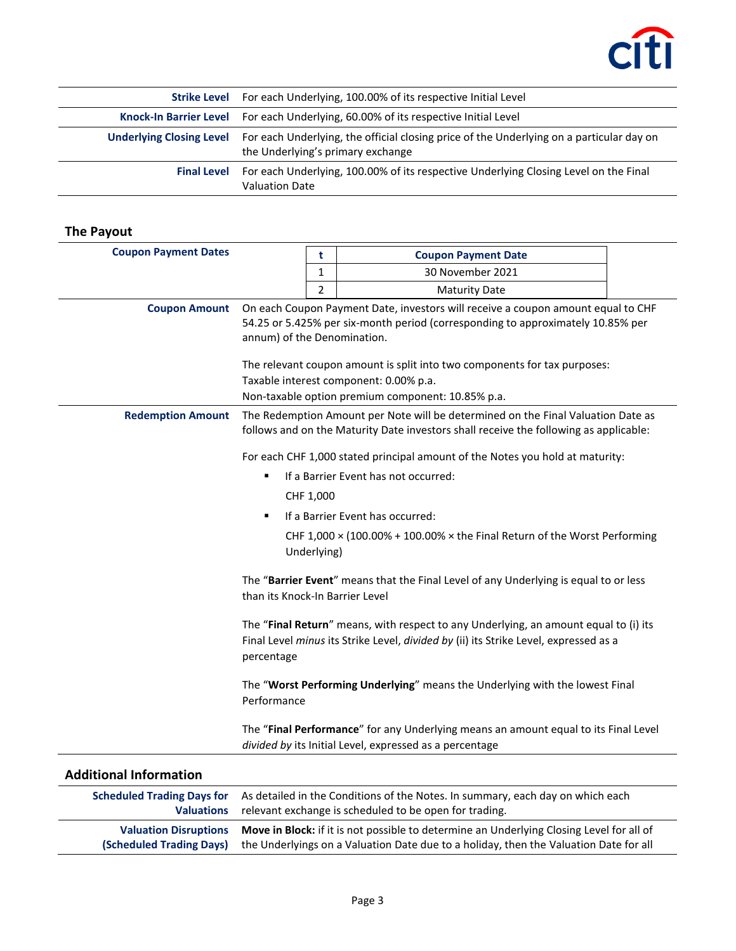

| <b>Strike Level</b> For each Underlying, 100.00% of its respective Initial Level                                                                       |
|--------------------------------------------------------------------------------------------------------------------------------------------------------|
| Knock-In Barrier Level For each Underlying, 60.00% of its respective Initial Level                                                                     |
| Underlying Closing Level For each Underlying, the official closing price of the Underlying on a particular day on<br>the Underlying's primary exchange |
| Final Level For each Underlying, 100.00% of its respective Underlying Closing Level on the Final<br><b>Valuation Date</b>                              |

## **The Payout**

**(Scheduled Trading Days)**

| <b>Coupon Payment Dates</b>                            |                                                                                                                                                                                                                                                                                                                                                                                | t | <b>Coupon Payment Date</b>                                                                                                                     |  |
|--------------------------------------------------------|--------------------------------------------------------------------------------------------------------------------------------------------------------------------------------------------------------------------------------------------------------------------------------------------------------------------------------------------------------------------------------|---|------------------------------------------------------------------------------------------------------------------------------------------------|--|
|                                                        |                                                                                                                                                                                                                                                                                                                                                                                | 1 | 30 November 2021                                                                                                                               |  |
|                                                        |                                                                                                                                                                                                                                                                                                                                                                                | 2 | <b>Maturity Date</b>                                                                                                                           |  |
| <b>Coupon Amount</b>                                   | On each Coupon Payment Date, investors will receive a coupon amount equal to CHF<br>54.25 or 5.425% per six-month period (corresponding to approximately 10.85% per<br>annum) of the Denomination.<br>The relevant coupon amount is split into two components for tax purposes:<br>Taxable interest component: 0.00% p.a.<br>Non-taxable option premium component: 10.85% p.a. |   |                                                                                                                                                |  |
| <b>Redemption Amount</b>                               | The Redemption Amount per Note will be determined on the Final Valuation Date as<br>follows and on the Maturity Date investors shall receive the following as applicable:                                                                                                                                                                                                      |   |                                                                                                                                                |  |
|                                                        |                                                                                                                                                                                                                                                                                                                                                                                |   | For each CHF 1,000 stated principal amount of the Notes you hold at maturity:                                                                  |  |
|                                                        | ٠                                                                                                                                                                                                                                                                                                                                                                              |   | If a Barrier Event has not occurred:                                                                                                           |  |
|                                                        | CHF 1,000                                                                                                                                                                                                                                                                                                                                                                      |   |                                                                                                                                                |  |
|                                                        | $\blacksquare$                                                                                                                                                                                                                                                                                                                                                                 |   | If a Barrier Event has occurred:                                                                                                               |  |
|                                                        | CHF 1,000 $\times$ (100.00% + 100.00% $\times$ the Final Return of the Worst Performing<br>Underlying)                                                                                                                                                                                                                                                                         |   |                                                                                                                                                |  |
|                                                        | The "Barrier Event" means that the Final Level of any Underlying is equal to or less<br>than its Knock-In Barrier Level                                                                                                                                                                                                                                                        |   |                                                                                                                                                |  |
|                                                        | The "Final Return" means, with respect to any Underlying, an amount equal to (i) its<br>Final Level minus its Strike Level, divided by (ii) its Strike Level, expressed as a<br>percentage                                                                                                                                                                                     |   |                                                                                                                                                |  |
|                                                        | Performance                                                                                                                                                                                                                                                                                                                                                                    |   | The "Worst Performing Underlying" means the Underlying with the lowest Final                                                                   |  |
|                                                        |                                                                                                                                                                                                                                                                                                                                                                                |   | The "Final Performance" for any Underlying means an amount equal to its Final Level<br>divided by its Initial Level, expressed as a percentage |  |
| <b>Additional Information</b>                          |                                                                                                                                                                                                                                                                                                                                                                                |   |                                                                                                                                                |  |
| <b>Scheduled Trading Days for</b><br><b>Valuations</b> |                                                                                                                                                                                                                                                                                                                                                                                |   | As detailed in the Conditions of the Notes. In summary, each day on which each<br>relevant exchange is scheduled to be open for trading.       |  |

**Valuation Disruptions Move in Block:** if it is not possible to determine an Underlying Closing Level for all of

the Underlyings on a Valuation Date due to a holiday, then the Valuation Date for all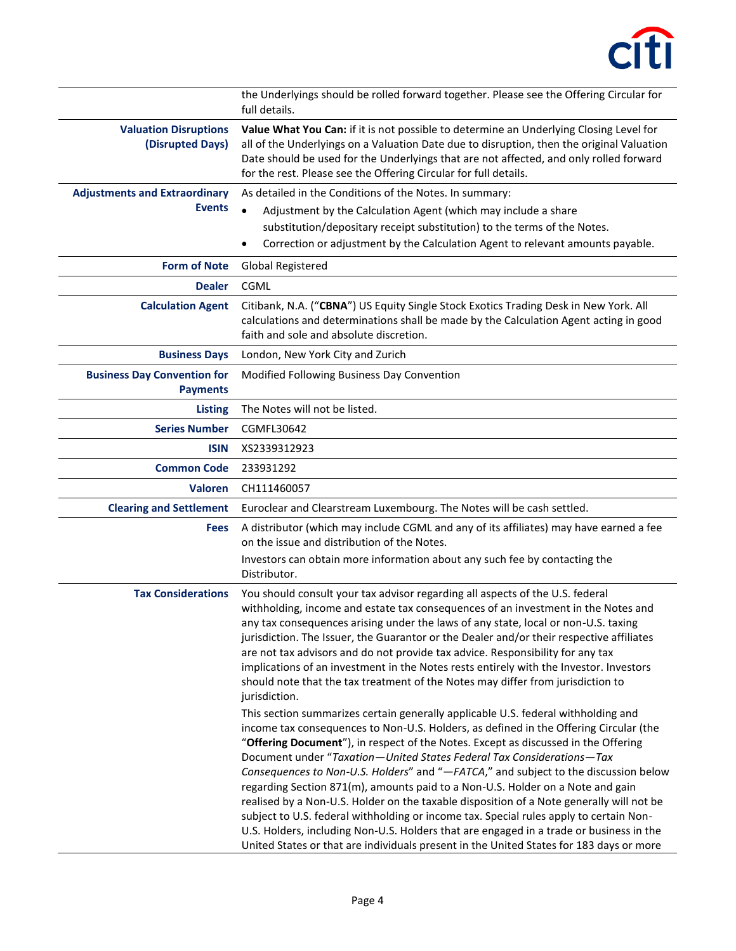

|                                                       | the Underlyings should be rolled forward together. Please see the Offering Circular for<br>full details.                                                                                                                                                                                                                                                                                                                                                                                                                                                                                                                                                                                                                                                                                                                                                                                       |
|-------------------------------------------------------|------------------------------------------------------------------------------------------------------------------------------------------------------------------------------------------------------------------------------------------------------------------------------------------------------------------------------------------------------------------------------------------------------------------------------------------------------------------------------------------------------------------------------------------------------------------------------------------------------------------------------------------------------------------------------------------------------------------------------------------------------------------------------------------------------------------------------------------------------------------------------------------------|
| <b>Valuation Disruptions</b><br>(Disrupted Days)      | Value What You Can: if it is not possible to determine an Underlying Closing Level for<br>all of the Underlyings on a Valuation Date due to disruption, then the original Valuation<br>Date should be used for the Underlyings that are not affected, and only rolled forward<br>for the rest. Please see the Offering Circular for full details.                                                                                                                                                                                                                                                                                                                                                                                                                                                                                                                                              |
| <b>Adjustments and Extraordinary</b><br><b>Events</b> | As detailed in the Conditions of the Notes. In summary:<br>Adjustment by the Calculation Agent (which may include a share<br>$\bullet$<br>substitution/depositary receipt substitution) to the terms of the Notes.                                                                                                                                                                                                                                                                                                                                                                                                                                                                                                                                                                                                                                                                             |
|                                                       | Correction or adjustment by the Calculation Agent to relevant amounts payable.                                                                                                                                                                                                                                                                                                                                                                                                                                                                                                                                                                                                                                                                                                                                                                                                                 |
| <b>Form of Note</b>                                   | <b>Global Registered</b>                                                                                                                                                                                                                                                                                                                                                                                                                                                                                                                                                                                                                                                                                                                                                                                                                                                                       |
| <b>Dealer</b><br><b>Calculation Agent</b>             | CGML<br>Citibank, N.A. ("CBNA") US Equity Single Stock Exotics Trading Desk in New York. All<br>calculations and determinations shall be made by the Calculation Agent acting in good<br>faith and sole and absolute discretion.                                                                                                                                                                                                                                                                                                                                                                                                                                                                                                                                                                                                                                                               |
| <b>Business Days</b>                                  | London, New York City and Zurich                                                                                                                                                                                                                                                                                                                                                                                                                                                                                                                                                                                                                                                                                                                                                                                                                                                               |
| <b>Business Day Convention for</b><br><b>Payments</b> | Modified Following Business Day Convention                                                                                                                                                                                                                                                                                                                                                                                                                                                                                                                                                                                                                                                                                                                                                                                                                                                     |
| <b>Listing</b>                                        | The Notes will not be listed.                                                                                                                                                                                                                                                                                                                                                                                                                                                                                                                                                                                                                                                                                                                                                                                                                                                                  |
| <b>Series Number</b>                                  | CGMFL30642                                                                                                                                                                                                                                                                                                                                                                                                                                                                                                                                                                                                                                                                                                                                                                                                                                                                                     |
| <b>ISIN</b>                                           | XS2339312923                                                                                                                                                                                                                                                                                                                                                                                                                                                                                                                                                                                                                                                                                                                                                                                                                                                                                   |
| <b>Common Code</b>                                    | 233931292                                                                                                                                                                                                                                                                                                                                                                                                                                                                                                                                                                                                                                                                                                                                                                                                                                                                                      |
| <b>Valoren</b>                                        | CH111460057                                                                                                                                                                                                                                                                                                                                                                                                                                                                                                                                                                                                                                                                                                                                                                                                                                                                                    |
| <b>Clearing and Settlement</b>                        | Euroclear and Clearstream Luxembourg. The Notes will be cash settled.                                                                                                                                                                                                                                                                                                                                                                                                                                                                                                                                                                                                                                                                                                                                                                                                                          |
| <b>Fees</b>                                           | A distributor (which may include CGML and any of its affiliates) may have earned a fee<br>on the issue and distribution of the Notes.<br>Investors can obtain more information about any such fee by contacting the<br>Distributor.                                                                                                                                                                                                                                                                                                                                                                                                                                                                                                                                                                                                                                                            |
| <b>Tax Considerations</b>                             | You should consult your tax advisor regarding all aspects of the U.S. federal<br>withholding, income and estate tax consequences of an investment in the Notes and<br>any tax consequences arising under the laws of any state, local or non-U.S. taxing<br>jurisdiction. The Issuer, the Guarantor or the Dealer and/or their respective affiliates<br>are not tax advisors and do not provide tax advice. Responsibility for any tax<br>implications of an investment in the Notes rests entirely with the Investor. Investors<br>should note that the tax treatment of the Notes may differ from jurisdiction to<br>jurisdiction.                                                                                                                                                                                                                                                           |
|                                                       | This section summarizes certain generally applicable U.S. federal withholding and<br>income tax consequences to Non-U.S. Holders, as defined in the Offering Circular (the<br>"Offering Document"), in respect of the Notes. Except as discussed in the Offering<br>Document under "Taxation-United States Federal Tax Considerations-Tax<br>Consequences to Non-U.S. Holders" and "-FATCA," and subject to the discussion below<br>regarding Section 871(m), amounts paid to a Non-U.S. Holder on a Note and gain<br>realised by a Non-U.S. Holder on the taxable disposition of a Note generally will not be<br>subject to U.S. federal withholding or income tax. Special rules apply to certain Non-<br>U.S. Holders, including Non-U.S. Holders that are engaged in a trade or business in the<br>United States or that are individuals present in the United States for 183 days or more |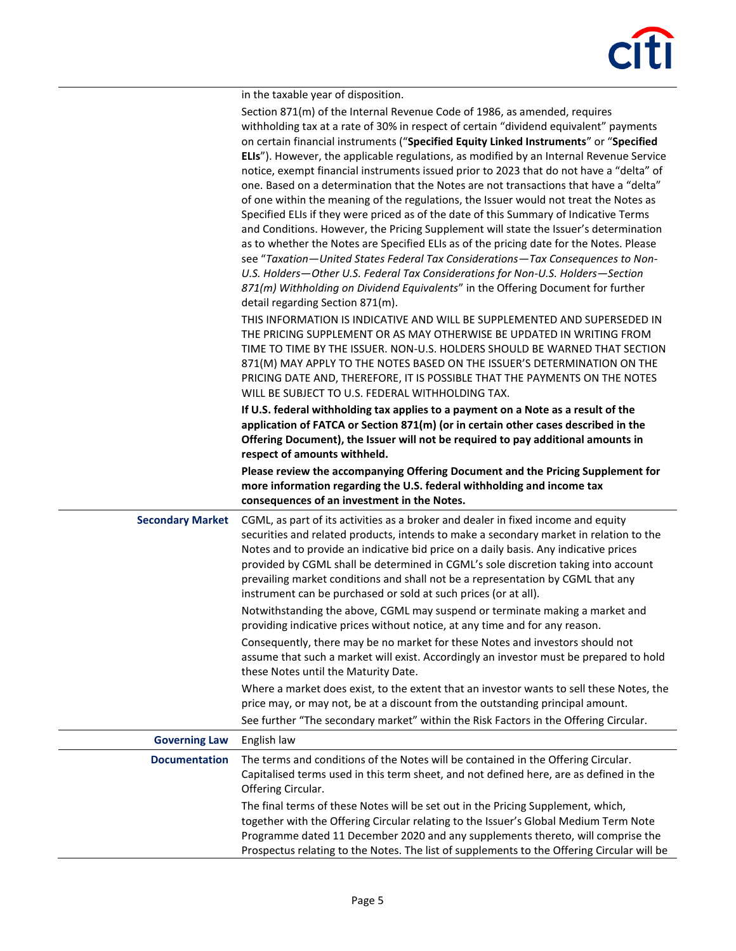|                         | in the taxable year of disposition.                                                                                                                                                                                                                                                                                                                                                                                                                                                                                                                                                                                                                                                                                                                                                                                                                                                                                                                                                                                                                                                                                                                                                                            |
|-------------------------|----------------------------------------------------------------------------------------------------------------------------------------------------------------------------------------------------------------------------------------------------------------------------------------------------------------------------------------------------------------------------------------------------------------------------------------------------------------------------------------------------------------------------------------------------------------------------------------------------------------------------------------------------------------------------------------------------------------------------------------------------------------------------------------------------------------------------------------------------------------------------------------------------------------------------------------------------------------------------------------------------------------------------------------------------------------------------------------------------------------------------------------------------------------------------------------------------------------|
|                         | Section 871(m) of the Internal Revenue Code of 1986, as amended, requires<br>withholding tax at a rate of 30% in respect of certain "dividend equivalent" payments<br>on certain financial instruments ("Specified Equity Linked Instruments" or "Specified<br>ELIs"). However, the applicable regulations, as modified by an Internal Revenue Service<br>notice, exempt financial instruments issued prior to 2023 that do not have a "delta" of<br>one. Based on a determination that the Notes are not transactions that have a "delta"<br>of one within the meaning of the regulations, the Issuer would not treat the Notes as<br>Specified ELIs if they were priced as of the date of this Summary of Indicative Terms<br>and Conditions. However, the Pricing Supplement will state the Issuer's determination<br>as to whether the Notes are Specified ELIs as of the pricing date for the Notes. Please<br>see "Taxation-United States Federal Tax Considerations-Tax Consequences to Non-<br>U.S. Holders-Other U.S. Federal Tax Considerations for Non-U.S. Holders-Section<br>871(m) Withholding on Dividend Equivalents" in the Offering Document for further<br>detail regarding Section 871(m). |
|                         | THIS INFORMATION IS INDICATIVE AND WILL BE SUPPLEMENTED AND SUPERSEDED IN<br>THE PRICING SUPPLEMENT OR AS MAY OTHERWISE BE UPDATED IN WRITING FROM<br>TIME TO TIME BY THE ISSUER. NON-U.S. HOLDERS SHOULD BE WARNED THAT SECTION<br>871(M) MAY APPLY TO THE NOTES BASED ON THE ISSUER'S DETERMINATION ON THE<br>PRICING DATE AND, THEREFORE, IT IS POSSIBLE THAT THE PAYMENTS ON THE NOTES<br>WILL BE SUBJECT TO U.S. FEDERAL WITHHOLDING TAX.                                                                                                                                                                                                                                                                                                                                                                                                                                                                                                                                                                                                                                                                                                                                                                 |
|                         | If U.S. federal withholding tax applies to a payment on a Note as a result of the<br>application of FATCA or Section 871(m) (or in certain other cases described in the<br>Offering Document), the Issuer will not be required to pay additional amounts in<br>respect of amounts withheld.                                                                                                                                                                                                                                                                                                                                                                                                                                                                                                                                                                                                                                                                                                                                                                                                                                                                                                                    |
|                         | Please review the accompanying Offering Document and the Pricing Supplement for<br>more information regarding the U.S. federal withholding and income tax<br>consequences of an investment in the Notes.                                                                                                                                                                                                                                                                                                                                                                                                                                                                                                                                                                                                                                                                                                                                                                                                                                                                                                                                                                                                       |
| <b>Secondary Market</b> | CGML, as part of its activities as a broker and dealer in fixed income and equity<br>securities and related products, intends to make a secondary market in relation to the<br>Notes and to provide an indicative bid price on a daily basis. Any indicative prices<br>provided by CGML shall be determined in CGML's sole discretion taking into account<br>prevailing market conditions and shall not be a representation by CGML that any<br>instrument can be purchased or sold at such prices (or at all).                                                                                                                                                                                                                                                                                                                                                                                                                                                                                                                                                                                                                                                                                                |
|                         | Notwithstanding the above, CGML may suspend or terminate making a market and<br>providing indicative prices without notice, at any time and for any reason.                                                                                                                                                                                                                                                                                                                                                                                                                                                                                                                                                                                                                                                                                                                                                                                                                                                                                                                                                                                                                                                    |
|                         | Consequently, there may be no market for these Notes and investors should not<br>assume that such a market will exist. Accordingly an investor must be prepared to hold<br>these Notes until the Maturity Date.                                                                                                                                                                                                                                                                                                                                                                                                                                                                                                                                                                                                                                                                                                                                                                                                                                                                                                                                                                                                |
|                         | Where a market does exist, to the extent that an investor wants to sell these Notes, the<br>price may, or may not, be at a discount from the outstanding principal amount.<br>See further "The secondary market" within the Risk Factors in the Offering Circular.                                                                                                                                                                                                                                                                                                                                                                                                                                                                                                                                                                                                                                                                                                                                                                                                                                                                                                                                             |
| <b>Governing Law</b>    | English law                                                                                                                                                                                                                                                                                                                                                                                                                                                                                                                                                                                                                                                                                                                                                                                                                                                                                                                                                                                                                                                                                                                                                                                                    |
| <b>Documentation</b>    | The terms and conditions of the Notes will be contained in the Offering Circular.<br>Capitalised terms used in this term sheet, and not defined here, are as defined in the<br>Offering Circular.                                                                                                                                                                                                                                                                                                                                                                                                                                                                                                                                                                                                                                                                                                                                                                                                                                                                                                                                                                                                              |
|                         | The final terms of these Notes will be set out in the Pricing Supplement, which,<br>together with the Offering Circular relating to the Issuer's Global Medium Term Note<br>Programme dated 11 December 2020 and any supplements thereto, will comprise the<br>Prospectus relating to the Notes. The list of supplements to the Offering Circular will be                                                                                                                                                                                                                                                                                                                                                                                                                                                                                                                                                                                                                                                                                                                                                                                                                                                      |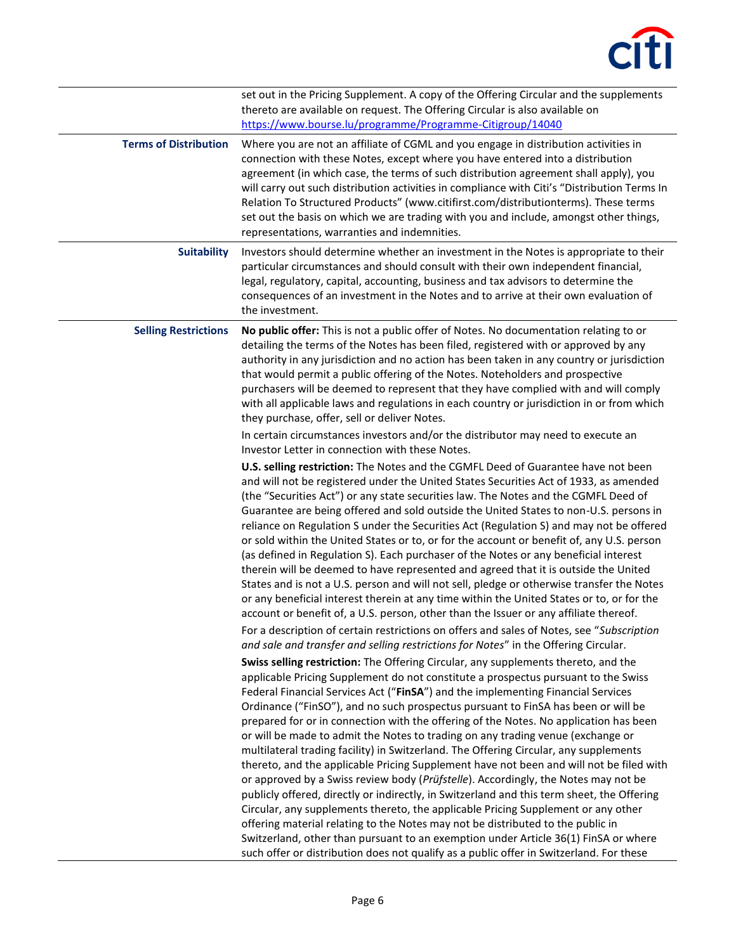| <b>Terms of Distribution</b> | set out in the Pricing Supplement. A copy of the Offering Circular and the supplements<br>thereto are available on request. The Offering Circular is also available on<br>https://www.bourse.lu/programme/Programme-Citigroup/14040<br>Where you are not an affiliate of CGML and you engage in distribution activities in<br>connection with these Notes, except where you have entered into a distribution<br>agreement (in which case, the terms of such distribution agreement shall apply), you<br>will carry out such distribution activities in compliance with Citi's "Distribution Terms In<br>Relation To Structured Products" (www.citifirst.com/distributionterms). These terms<br>set out the basis on which we are trading with you and include, amongst other things,<br>representations, warranties and indemnities.                                                                                                                                                                                                                                                                                                                                                                                                                                                                                                                                                                                                                                                                                                                                                                                                                                                                                                                                                                                                                                                                                                                                                                                                                                                                                                                                                                                                                                                                                                                                                                                                                                                                                                                                                                                                                                                                                                                                                                                                                                                                                                                                                                                                                                                                                                                                                                                 |
|------------------------------|----------------------------------------------------------------------------------------------------------------------------------------------------------------------------------------------------------------------------------------------------------------------------------------------------------------------------------------------------------------------------------------------------------------------------------------------------------------------------------------------------------------------------------------------------------------------------------------------------------------------------------------------------------------------------------------------------------------------------------------------------------------------------------------------------------------------------------------------------------------------------------------------------------------------------------------------------------------------------------------------------------------------------------------------------------------------------------------------------------------------------------------------------------------------------------------------------------------------------------------------------------------------------------------------------------------------------------------------------------------------------------------------------------------------------------------------------------------------------------------------------------------------------------------------------------------------------------------------------------------------------------------------------------------------------------------------------------------------------------------------------------------------------------------------------------------------------------------------------------------------------------------------------------------------------------------------------------------------------------------------------------------------------------------------------------------------------------------------------------------------------------------------------------------------------------------------------------------------------------------------------------------------------------------------------------------------------------------------------------------------------------------------------------------------------------------------------------------------------------------------------------------------------------------------------------------------------------------------------------------------------------------------------------------------------------------------------------------------------------------------------------------------------------------------------------------------------------------------------------------------------------------------------------------------------------------------------------------------------------------------------------------------------------------------------------------------------------------------------------------------------------------------------------------------------------------------------------------------|
| <b>Suitability</b>           | Investors should determine whether an investment in the Notes is appropriate to their<br>particular circumstances and should consult with their own independent financial,<br>legal, regulatory, capital, accounting, business and tax advisors to determine the<br>consequences of an investment in the Notes and to arrive at their own evaluation of<br>the investment.                                                                                                                                                                                                                                                                                                                                                                                                                                                                                                                                                                                                                                                                                                                                                                                                                                                                                                                                                                                                                                                                                                                                                                                                                                                                                                                                                                                                                                                                                                                                                                                                                                                                                                                                                                                                                                                                                                                                                                                                                                                                                                                                                                                                                                                                                                                                                                                                                                                                                                                                                                                                                                                                                                                                                                                                                                           |
| <b>Selling Restrictions</b>  | No public offer: This is not a public offer of Notes. No documentation relating to or<br>detailing the terms of the Notes has been filed, registered with or approved by any<br>authority in any jurisdiction and no action has been taken in any country or jurisdiction<br>that would permit a public offering of the Notes. Noteholders and prospective<br>purchasers will be deemed to represent that they have complied with and will comply<br>with all applicable laws and regulations in each country or jurisdiction in or from which<br>they purchase, offer, sell or deliver Notes.<br>In certain circumstances investors and/or the distributor may need to execute an<br>Investor Letter in connection with these Notes.<br>U.S. selling restriction: The Notes and the CGMFL Deed of Guarantee have not been<br>and will not be registered under the United States Securities Act of 1933, as amended<br>(the "Securities Act") or any state securities law. The Notes and the CGMFL Deed of<br>Guarantee are being offered and sold outside the United States to non-U.S. persons in<br>reliance on Regulation S under the Securities Act (Regulation S) and may not be offered<br>or sold within the United States or to, or for the account or benefit of, any U.S. person<br>(as defined in Regulation S). Each purchaser of the Notes or any beneficial interest<br>therein will be deemed to have represented and agreed that it is outside the United<br>States and is not a U.S. person and will not sell, pledge or otherwise transfer the Notes<br>or any beneficial interest therein at any time within the United States or to, or for the<br>account or benefit of, a U.S. person, other than the Issuer or any affiliate thereof.<br>For a description of certain restrictions on offers and sales of Notes, see "Subscription<br>and sale and transfer and selling restrictions for Notes" in the Offering Circular.<br>Swiss selling restriction: The Offering Circular, any supplements thereto, and the<br>applicable Pricing Supplement do not constitute a prospectus pursuant to the Swiss<br>Federal Financial Services Act ("FinSA") and the implementing Financial Services<br>Ordinance ("FinSO"), and no such prospectus pursuant to FinSA has been or will be<br>prepared for or in connection with the offering of the Notes. No application has been<br>or will be made to admit the Notes to trading on any trading venue (exchange or<br>multilateral trading facility) in Switzerland. The Offering Circular, any supplements<br>thereto, and the applicable Pricing Supplement have not been and will not be filed with<br>or approved by a Swiss review body (Prüfstelle). Accordingly, the Notes may not be<br>publicly offered, directly or indirectly, in Switzerland and this term sheet, the Offering<br>Circular, any supplements thereto, the applicable Pricing Supplement or any other<br>offering material relating to the Notes may not be distributed to the public in<br>Switzerland, other than pursuant to an exemption under Article 36(1) FinSA or where<br>such offer or distribution does not qualify as a public offer in Switzerland. For these |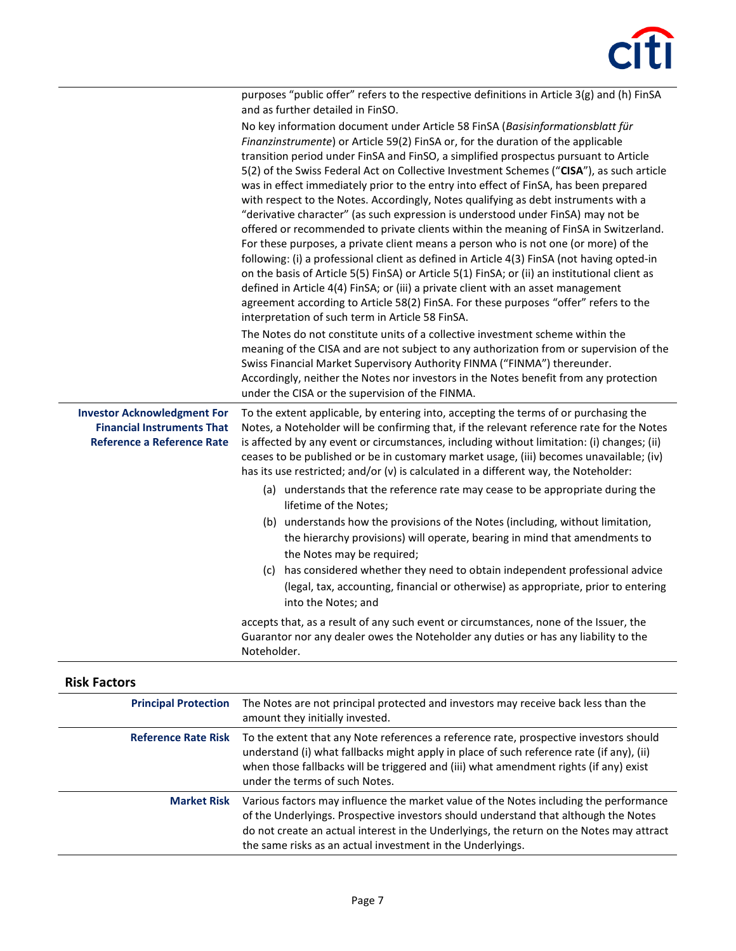

|                                                                                                              | purposes "public offer" refers to the respective definitions in Article 3(g) and (h) FinSA<br>and as further detailed in FinSO.                                                                                                                                                                                                                                                                                                                                                                                                                                                                                                                                                                                                                                                                                                                                                                                                                                                                                                                                                                                                                                                                                                           |
|--------------------------------------------------------------------------------------------------------------|-------------------------------------------------------------------------------------------------------------------------------------------------------------------------------------------------------------------------------------------------------------------------------------------------------------------------------------------------------------------------------------------------------------------------------------------------------------------------------------------------------------------------------------------------------------------------------------------------------------------------------------------------------------------------------------------------------------------------------------------------------------------------------------------------------------------------------------------------------------------------------------------------------------------------------------------------------------------------------------------------------------------------------------------------------------------------------------------------------------------------------------------------------------------------------------------------------------------------------------------|
|                                                                                                              | No key information document under Article 58 FinSA (Basisinformationsblatt für<br>Finanzinstrumente) or Article 59(2) FinSA or, for the duration of the applicable<br>transition period under FinSA and FinSO, a simplified prospectus pursuant to Article<br>5(2) of the Swiss Federal Act on Collective Investment Schemes ("CISA"), as such article<br>was in effect immediately prior to the entry into effect of FinSA, has been prepared<br>with respect to the Notes. Accordingly, Notes qualifying as debt instruments with a<br>"derivative character" (as such expression is understood under FinSA) may not be<br>offered or recommended to private clients within the meaning of FinSA in Switzerland.<br>For these purposes, a private client means a person who is not one (or more) of the<br>following: (i) a professional client as defined in Article 4(3) FinSA (not having opted-in<br>on the basis of Article 5(5) FinSA) or Article 5(1) FinSA; or (ii) an institutional client as<br>defined in Article 4(4) FinSA; or (iii) a private client with an asset management<br>agreement according to Article 58(2) FinSA. For these purposes "offer" refers to the<br>interpretation of such term in Article 58 FinSA. |
|                                                                                                              | The Notes do not constitute units of a collective investment scheme within the<br>meaning of the CISA and are not subject to any authorization from or supervision of the<br>Swiss Financial Market Supervisory Authority FINMA ("FINMA") thereunder.<br>Accordingly, neither the Notes nor investors in the Notes benefit from any protection<br>under the CISA or the supervision of the FINMA.                                                                                                                                                                                                                                                                                                                                                                                                                                                                                                                                                                                                                                                                                                                                                                                                                                         |
| <b>Investor Acknowledgment For</b><br><b>Financial Instruments That</b><br><b>Reference a Reference Rate</b> | To the extent applicable, by entering into, accepting the terms of or purchasing the<br>Notes, a Noteholder will be confirming that, if the relevant reference rate for the Notes<br>is affected by any event or circumstances, including without limitation: (i) changes; (ii)<br>ceases to be published or be in customary market usage, (iii) becomes unavailable; (iv)<br>has its use restricted; and/or (v) is calculated in a different way, the Noteholder:<br>(a) understands that the reference rate may cease to be appropriate during the<br>lifetime of the Notes;<br>(b) understands how the provisions of the Notes (including, without limitation,<br>the hierarchy provisions) will operate, bearing in mind that amendments to                                                                                                                                                                                                                                                                                                                                                                                                                                                                                           |
|                                                                                                              | the Notes may be required;<br>(c) has considered whether they need to obtain independent professional advice<br>(legal, tax, accounting, financial or otherwise) as appropriate, prior to entering<br>into the Notes; and                                                                                                                                                                                                                                                                                                                                                                                                                                                                                                                                                                                                                                                                                                                                                                                                                                                                                                                                                                                                                 |
|                                                                                                              | accepts that, as a result of any such event or circumstances, none of the Issuer, the<br>Guarantor nor any dealer owes the Noteholder any duties or has any liability to the<br>Noteholder.                                                                                                                                                                                                                                                                                                                                                                                                                                                                                                                                                                                                                                                                                                                                                                                                                                                                                                                                                                                                                                               |
|                                                                                                              |                                                                                                                                                                                                                                                                                                                                                                                                                                                                                                                                                                                                                                                                                                                                                                                                                                                                                                                                                                                                                                                                                                                                                                                                                                           |

| <b>Risk Factors</b>         |                                                                                                                                                                                                                                                                                                                                        |
|-----------------------------|----------------------------------------------------------------------------------------------------------------------------------------------------------------------------------------------------------------------------------------------------------------------------------------------------------------------------------------|
| <b>Principal Protection</b> | The Notes are not principal protected and investors may receive back less than the<br>amount they initially invested.                                                                                                                                                                                                                  |
| <b>Reference Rate Risk</b>  | To the extent that any Note references a reference rate, prospective investors should<br>understand (i) what fallbacks might apply in place of such reference rate (if any), (ii)<br>when those fallbacks will be triggered and (iii) what amendment rights (if any) exist<br>under the terms of such Notes.                           |
| <b>Market Risk</b>          | Various factors may influence the market value of the Notes including the performance<br>of the Underlyings. Prospective investors should understand that although the Notes<br>do not create an actual interest in the Underlyings, the return on the Notes may attract<br>the same risks as an actual investment in the Underlyings. |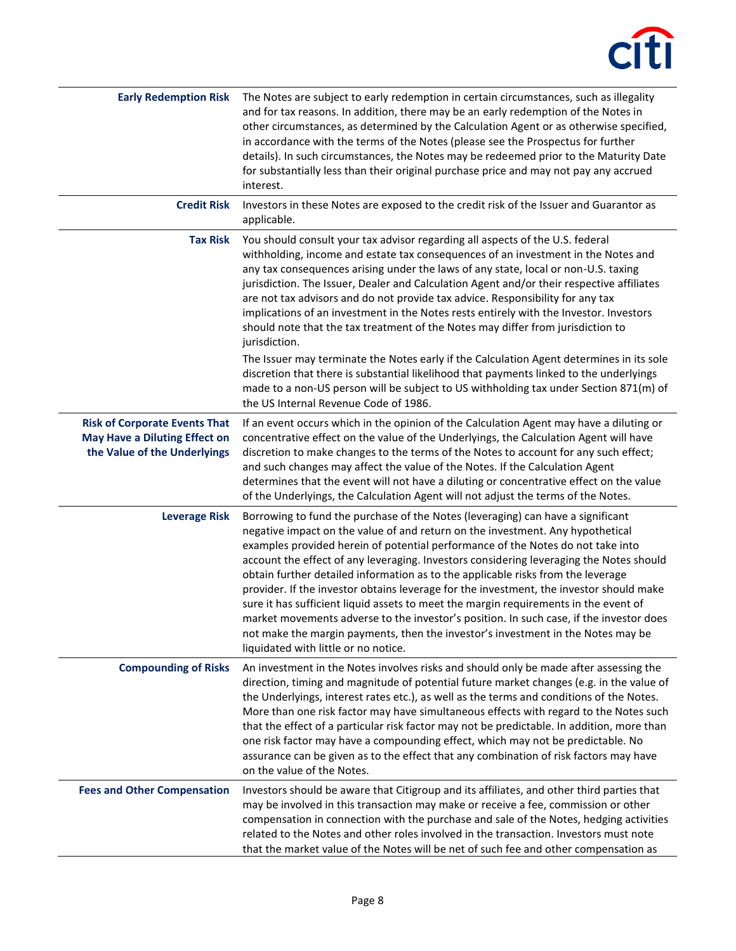| <b>Early Redemption Risk</b>                                                                                 | The Notes are subject to early redemption in certain circumstances, such as illegality<br>and for tax reasons. In addition, there may be an early redemption of the Notes in<br>other circumstances, as determined by the Calculation Agent or as otherwise specified,<br>in accordance with the terms of the Notes (please see the Prospectus for further<br>details). In such circumstances, the Notes may be redeemed prior to the Maturity Date<br>for substantially less than their original purchase price and may not pay any accrued<br>interest.                                                                                                                                                                                                                                                                                     |
|--------------------------------------------------------------------------------------------------------------|-----------------------------------------------------------------------------------------------------------------------------------------------------------------------------------------------------------------------------------------------------------------------------------------------------------------------------------------------------------------------------------------------------------------------------------------------------------------------------------------------------------------------------------------------------------------------------------------------------------------------------------------------------------------------------------------------------------------------------------------------------------------------------------------------------------------------------------------------|
| <b>Credit Risk</b>                                                                                           | Investors in these Notes are exposed to the credit risk of the Issuer and Guarantor as<br>applicable.                                                                                                                                                                                                                                                                                                                                                                                                                                                                                                                                                                                                                                                                                                                                         |
| <b>Tax Risk</b>                                                                                              | You should consult your tax advisor regarding all aspects of the U.S. federal<br>withholding, income and estate tax consequences of an investment in the Notes and<br>any tax consequences arising under the laws of any state, local or non-U.S. taxing<br>jurisdiction. The Issuer, Dealer and Calculation Agent and/or their respective affiliates<br>are not tax advisors and do not provide tax advice. Responsibility for any tax<br>implications of an investment in the Notes rests entirely with the Investor. Investors<br>should note that the tax treatment of the Notes may differ from jurisdiction to<br>jurisdiction.                                                                                                                                                                                                         |
|                                                                                                              | The Issuer may terminate the Notes early if the Calculation Agent determines in its sole<br>discretion that there is substantial likelihood that payments linked to the underlyings<br>made to a non-US person will be subject to US withholding tax under Section 871(m) of<br>the US Internal Revenue Code of 1986.                                                                                                                                                                                                                                                                                                                                                                                                                                                                                                                         |
| <b>Risk of Corporate Events That</b><br><b>May Have a Diluting Effect on</b><br>the Value of the Underlyings | If an event occurs which in the opinion of the Calculation Agent may have a diluting or<br>concentrative effect on the value of the Underlyings, the Calculation Agent will have<br>discretion to make changes to the terms of the Notes to account for any such effect;<br>and such changes may affect the value of the Notes. If the Calculation Agent<br>determines that the event will not have a diluting or concentrative effect on the value<br>of the Underlyings, the Calculation Agent will not adjust the terms of the Notes.                                                                                                                                                                                                                                                                                                      |
| <b>Leverage Risk</b>                                                                                         | Borrowing to fund the purchase of the Notes (leveraging) can have a significant<br>negative impact on the value of and return on the investment. Any hypothetical<br>examples provided herein of potential performance of the Notes do not take into<br>account the effect of any leveraging. Investors considering leveraging the Notes should<br>obtain further detailed information as to the applicable risks from the leverage<br>provider. If the investor obtains leverage for the investment, the investor should make<br>sure it has sufficient liquid assets to meet the margin requirements in the event of<br>market movements adverse to the investor's position. In such case, if the investor does<br>not make the margin payments, then the investor's investment in the Notes may be<br>liquidated with little or no notice. |
| <b>Compounding of Risks</b>                                                                                  | An investment in the Notes involves risks and should only be made after assessing the<br>direction, timing and magnitude of potential future market changes (e.g. in the value of<br>the Underlyings, interest rates etc.), as well as the terms and conditions of the Notes.<br>More than one risk factor may have simultaneous effects with regard to the Notes such<br>that the effect of a particular risk factor may not be predictable. In addition, more than<br>one risk factor may have a compounding effect, which may not be predictable. No<br>assurance can be given as to the effect that any combination of risk factors may have<br>on the value of the Notes.                                                                                                                                                                |
| <b>Fees and Other Compensation</b>                                                                           | Investors should be aware that Citigroup and its affiliates, and other third parties that<br>may be involved in this transaction may make or receive a fee, commission or other<br>compensation in connection with the purchase and sale of the Notes, hedging activities<br>related to the Notes and other roles involved in the transaction. Investors must note<br>that the market value of the Notes will be net of such fee and other compensation as                                                                                                                                                                                                                                                                                                                                                                                    |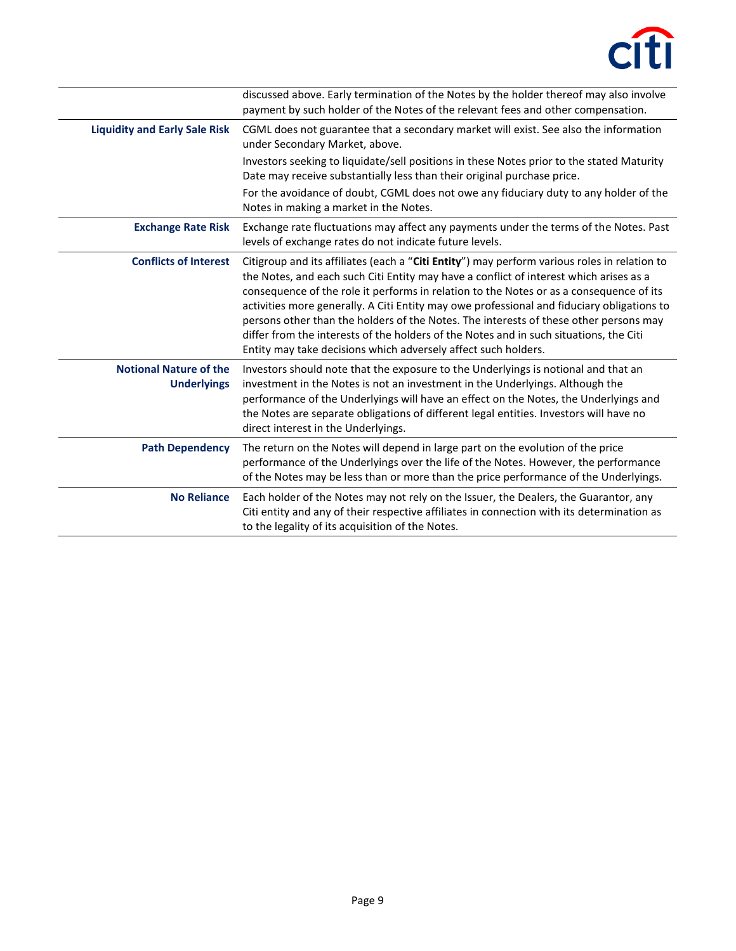

|                                                     | discussed above. Early termination of the Notes by the holder thereof may also involve<br>payment by such holder of the Notes of the relevant fees and other compensation.                                                                                                                                                                                                                                                                                                                                                                                                                                                           |
|-----------------------------------------------------|--------------------------------------------------------------------------------------------------------------------------------------------------------------------------------------------------------------------------------------------------------------------------------------------------------------------------------------------------------------------------------------------------------------------------------------------------------------------------------------------------------------------------------------------------------------------------------------------------------------------------------------|
| <b>Liquidity and Early Sale Risk</b>                | CGML does not guarantee that a secondary market will exist. See also the information<br>under Secondary Market, above.                                                                                                                                                                                                                                                                                                                                                                                                                                                                                                               |
|                                                     | Investors seeking to liquidate/sell positions in these Notes prior to the stated Maturity<br>Date may receive substantially less than their original purchase price.                                                                                                                                                                                                                                                                                                                                                                                                                                                                 |
|                                                     | For the avoidance of doubt, CGML does not owe any fiduciary duty to any holder of the<br>Notes in making a market in the Notes.                                                                                                                                                                                                                                                                                                                                                                                                                                                                                                      |
| <b>Exchange Rate Risk</b>                           | Exchange rate fluctuations may affect any payments under the terms of the Notes. Past<br>levels of exchange rates do not indicate future levels.                                                                                                                                                                                                                                                                                                                                                                                                                                                                                     |
| <b>Conflicts of Interest</b>                        | Citigroup and its affiliates (each a "Citi Entity") may perform various roles in relation to<br>the Notes, and each such Citi Entity may have a conflict of interest which arises as a<br>consequence of the role it performs in relation to the Notes or as a consequence of its<br>activities more generally. A Citi Entity may owe professional and fiduciary obligations to<br>persons other than the holders of the Notes. The interests of these other persons may<br>differ from the interests of the holders of the Notes and in such situations, the Citi<br>Entity may take decisions which adversely affect such holders. |
| <b>Notional Nature of the</b><br><b>Underlyings</b> | Investors should note that the exposure to the Underlyings is notional and that an<br>investment in the Notes is not an investment in the Underlyings. Although the<br>performance of the Underlyings will have an effect on the Notes, the Underlyings and<br>the Notes are separate obligations of different legal entities. Investors will have no<br>direct interest in the Underlyings.                                                                                                                                                                                                                                         |
| <b>Path Dependency</b>                              | The return on the Notes will depend in large part on the evolution of the price<br>performance of the Underlyings over the life of the Notes. However, the performance<br>of the Notes may be less than or more than the price performance of the Underlyings.                                                                                                                                                                                                                                                                                                                                                                       |
| <b>No Reliance</b>                                  | Each holder of the Notes may not rely on the Issuer, the Dealers, the Guarantor, any<br>Citi entity and any of their respective affiliates in connection with its determination as<br>to the legality of its acquisition of the Notes.                                                                                                                                                                                                                                                                                                                                                                                               |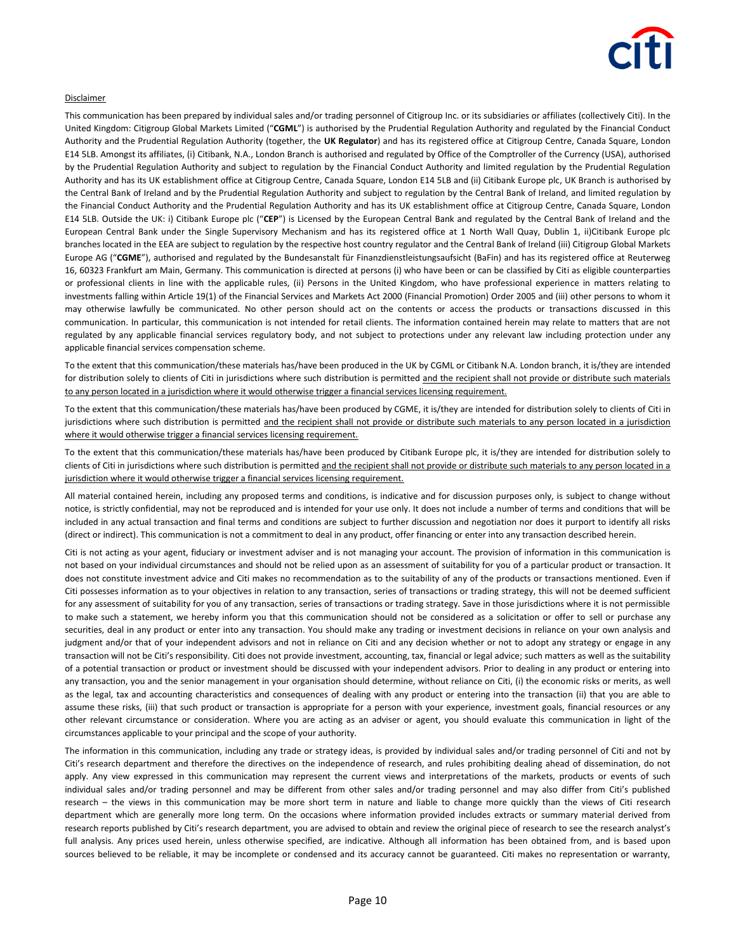

#### Disclaimer

This communication has been prepared by individual sales and/or trading personnel of Citigroup Inc. or its subsidiaries or affiliates (collectively Citi). In the United Kingdom: Citigroup Global Markets Limited ("**CGML**") is authorised by the Prudential Regulation Authority and regulated by the Financial Conduct Authority and the Prudential Regulation Authority (together, the **UK Regulator**) and has its registered office at Citigroup Centre, Canada Square, London E14 5LB. Amongst its affiliates, (i) Citibank, N.A., London Branch is authorised and regulated by Office of the Comptroller of the Currency (USA), authorised by the Prudential Regulation Authority and subject to regulation by the Financial Conduct Authority and limited regulation by the Prudential Regulation Authority and has its UK establishment office at Citigroup Centre, Canada Square, London E14 5LB and (ii) Citibank Europe plc, UK Branch is authorised by the Central Bank of Ireland and by the Prudential Regulation Authority and subject to regulation by the Central Bank of Ireland, and limited regulation by the Financial Conduct Authority and the Prudential Regulation Authority and has its UK establishment office at Citigroup Centre, Canada Square, London E14 5LB. Outside the UK: i) Citibank Europe plc ("**CEP**") is Licensed by the European Central Bank and regulated by the Central Bank of Ireland and the European Central Bank under the Single Supervisory Mechanism and has its registered office at 1 North Wall Quay, Dublin 1, ii)Citibank Europe plc branches located in the EEA are subject to regulation by the respective host country regulator and the Central Bank of Ireland (iii) Citigroup Global Markets Europe AG ("**CGME**"), authorised and regulated by the Bundesanstalt für Finanzdienstleistungsaufsicht (BaFin) and has its registered office at Reuterweg 16, 60323 Frankfurt am Main, Germany. This communication is directed at persons (i) who have been or can be classified by Citi as eligible counterparties or professional clients in line with the applicable rules, (ii) Persons in the United Kingdom, who have professional experience in matters relating to investments falling within Article 19(1) of the Financial Services and Markets Act 2000 (Financial Promotion) Order 2005 and (iii) other persons to whom it may otherwise lawfully be communicated. No other person should act on the contents or access the products or transactions discussed in this communication. In particular, this communication is not intended for retail clients. The information contained herein may relate to matters that are not regulated by any applicable financial services regulatory body, and not subject to protections under any relevant law including protection under any applicable financial services compensation scheme.

To the extent that this communication/these materials has/have been produced in the UK by CGML or Citibank N.A. London branch, it is/they are intended for distribution solely to clients of Citi in jurisdictions where such distribution is permitted and the recipient shall not provide or distribute such materials to any person located in a jurisdiction where it would otherwise trigger a financial services licensing requirement.

To the extent that this communication/these materials has/have been produced by CGME, it is/they are intended for distribution solely to clients of Citi in jurisdictions where such distribution is permitted and the recipient shall not provide or distribute such materials to any person located in a jurisdiction where it would otherwise trigger a financial services licensing requirement.

To the extent that this communication/these materials has/have been produced by Citibank Europe plc, it is/they are intended for distribution solely to clients of Citi in jurisdictions where such distribution is permitted and the recipient shall not provide or distribute such materials to any person located in a jurisdiction where it would otherwise trigger a financial services licensing requirement.

All material contained herein, including any proposed terms and conditions, is indicative and for discussion purposes only, is subject to change without notice, is strictly confidential, may not be reproduced and is intended for your use only. It does not include a number of terms and conditions that will be included in any actual transaction and final terms and conditions are subject to further discussion and negotiation nor does it purport to identify all risks (direct or indirect). This communication is not a commitment to deal in any product, offer financing or enter into any transaction described herein.

Citi is not acting as your agent, fiduciary or investment adviser and is not managing your account. The provision of information in this communication is not based on your individual circumstances and should not be relied upon as an assessment of suitability for you of a particular product or transaction. It does not constitute investment advice and Citi makes no recommendation as to the suitability of any of the products or transactions mentioned. Even if Citi possesses information as to your objectives in relation to any transaction, series of transactions or trading strategy, this will not be deemed sufficient for any assessment of suitability for you of any transaction, series of transactions or trading strategy. Save in those jurisdictions where it is not permissible to make such a statement, we hereby inform you that this communication should not be considered as a solicitation or offer to sell or purchase any securities, deal in any product or enter into any transaction. You should make any trading or investment decisions in reliance on your own analysis and judgment and/or that of your independent advisors and not in reliance on Citi and any decision whether or not to adopt any strategy or engage in any transaction will not be Citi's responsibility. Citi does not provide investment, accounting, tax, financial or legal advice; such matters as well as the suitability of a potential transaction or product or investment should be discussed with your independent advisors. Prior to dealing in any product or entering into any transaction, you and the senior management in your organisation should determine, without reliance on Citi, (i) the economic risks or merits, as well as the legal, tax and accounting characteristics and consequences of dealing with any product or entering into the transaction (ii) that you are able to assume these risks, (iii) that such product or transaction is appropriate for a person with your experience, investment goals, financial resources or any other relevant circumstance or consideration. Where you are acting as an adviser or agent, you should evaluate this communication in light of the circumstances applicable to your principal and the scope of your authority.

The information in this communication, including any trade or strategy ideas, is provided by individual sales and/or trading personnel of Citi and not by Citi's research department and therefore the directives on the independence of research, and rules prohibiting dealing ahead of dissemination, do not apply. Any view expressed in this communication may represent the current views and interpretations of the markets, products or events of such individual sales and/or trading personnel and may be different from other sales and/or trading personnel and may also differ from Citi's published research – the views in this communication may be more short term in nature and liable to change more quickly than the views of Citi research department which are generally more long term. On the occasions where information provided includes extracts or summary material derived from research reports published by Citi's research department, you are advised to obtain and review the original piece of research to see the research analyst's full analysis. Any prices used herein, unless otherwise specified, are indicative. Although all information has been obtained from, and is based upon sources believed to be reliable, it may be incomplete or condensed and its accuracy cannot be guaranteed. Citi makes no representation or warranty,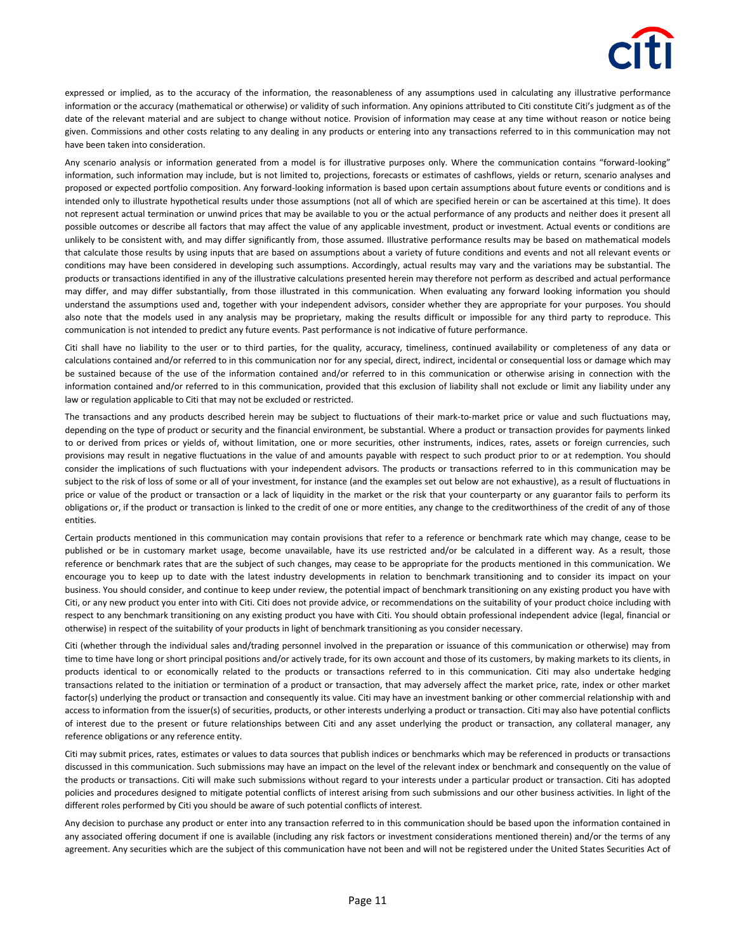expressed or implied, as to the accuracy of the information, the reasonableness of any assumptions used in calculating any illustrative performance information or the accuracy (mathematical or otherwise) or validity of such information. Any opinions attributed to Citi constitute Citi's judgment as of the date of the relevant material and are subject to change without notice. Provision of information may cease at any time without reason or notice being given. Commissions and other costs relating to any dealing in any products or entering into any transactions referred to in this communication may not have been taken into consideration.

Any scenario analysis or information generated from a model is for illustrative purposes only. Where the communication contains "forward-looking" information, such information may include, but is not limited to, projections, forecasts or estimates of cashflows, yields or return, scenario analyses and proposed or expected portfolio composition. Any forward-looking information is based upon certain assumptions about future events or conditions and is intended only to illustrate hypothetical results under those assumptions (not all of which are specified herein or can be ascertained at this time). It does not represent actual termination or unwind prices that may be available to you or the actual performance of any products and neither does it present all possible outcomes or describe all factors that may affect the value of any applicable investment, product or investment. Actual events or conditions are unlikely to be consistent with, and may differ significantly from, those assumed. Illustrative performance results may be based on mathematical models that calculate those results by using inputs that are based on assumptions about a variety of future conditions and events and not all relevant events or conditions may have been considered in developing such assumptions. Accordingly, actual results may vary and the variations may be substantial. The products or transactions identified in any of the illustrative calculations presented herein may therefore not perform as described and actual performance may differ, and may differ substantially, from those illustrated in this communication. When evaluating any forward looking information you should understand the assumptions used and, together with your independent advisors, consider whether they are appropriate for your purposes. You should also note that the models used in any analysis may be proprietary, making the results difficult or impossible for any third party to reproduce. This communication is not intended to predict any future events. Past performance is not indicative of future performance.

Citi shall have no liability to the user or to third parties, for the quality, accuracy, timeliness, continued availability or completeness of any data or calculations contained and/or referred to in this communication nor for any special, direct, indirect, incidental or consequential loss or damage which may be sustained because of the use of the information contained and/or referred to in this communication or otherwise arising in connection with the information contained and/or referred to in this communication, provided that this exclusion of liability shall not exclude or limit any liability under any law or regulation applicable to Citi that may not be excluded or restricted.

The transactions and any products described herein may be subject to fluctuations of their mark-to-market price or value and such fluctuations may, depending on the type of product or security and the financial environment, be substantial. Where a product or transaction provides for payments linked to or derived from prices or yields of, without limitation, one or more securities, other instruments, indices, rates, assets or foreign currencies, such provisions may result in negative fluctuations in the value of and amounts payable with respect to such product prior to or at redemption. You should consider the implications of such fluctuations with your independent advisors. The products or transactions referred to in this communication may be subject to the risk of loss of some or all of your investment, for instance (and the examples set out below are not exhaustive), as a result of fluctuations in price or value of the product or transaction or a lack of liquidity in the market or the risk that your counterparty or any guarantor fails to perform its obligations or, if the product or transaction is linked to the credit of one or more entities, any change to the creditworthiness of the credit of any of those entities.

Certain products mentioned in this communication may contain provisions that refer to a reference or benchmark rate which may change, cease to be published or be in customary market usage, become unavailable, have its use restricted and/or be calculated in a different way. As a result, those reference or benchmark rates that are the subject of such changes, may cease to be appropriate for the products mentioned in this communication. We encourage you to keep up to date with the latest industry developments in relation to benchmark transitioning and to consider its impact on your business. You should consider, and continue to keep under review, the potential impact of benchmark transitioning on any existing product you have with Citi, or any new product you enter into with Citi. Citi does not provide advice, or recommendations on the suitability of your product choice including with respect to any benchmark transitioning on any existing product you have with Citi. You should obtain professional independent advice (legal, financial or otherwise) in respect of the suitability of your products in light of benchmark transitioning as you consider necessary.

Citi (whether through the individual sales and/trading personnel involved in the preparation or issuance of this communication or otherwise) may from time to time have long or short principal positions and/or actively trade, for its own account and those of its customers, by making markets to its clients, in products identical to or economically related to the products or transactions referred to in this communication. Citi may also undertake hedging transactions related to the initiation or termination of a product or transaction, that may adversely affect the market price, rate, index or other market factor(s) underlying the product or transaction and consequently its value. Citi may have an investment banking or other commercial relationship with and access to information from the issuer(s) of securities, products, or other interests underlying a product or transaction. Citi may also have potential conflicts of interest due to the present or future relationships between Citi and any asset underlying the product or transaction, any collateral manager, any reference obligations or any reference entity.

Citi may submit prices, rates, estimates or values to data sources that publish indices or benchmarks which may be referenced in products or transactions discussed in this communication. Such submissions may have an impact on the level of the relevant index or benchmark and consequently on the value of the products or transactions. Citi will make such submissions without regard to your interests under a particular product or transaction. Citi has adopted policies and procedures designed to mitigate potential conflicts of interest arising from such submissions and our other business activities. In light of the different roles performed by Citi you should be aware of such potential conflicts of interest.

Any decision to purchase any product or enter into any transaction referred to in this communication should be based upon the information contained in any associated offering document if one is available (including any risk factors or investment considerations mentioned therein) and/or the terms of any agreement. Any securities which are the subject of this communication have not been and will not be registered under the United States Securities Act of